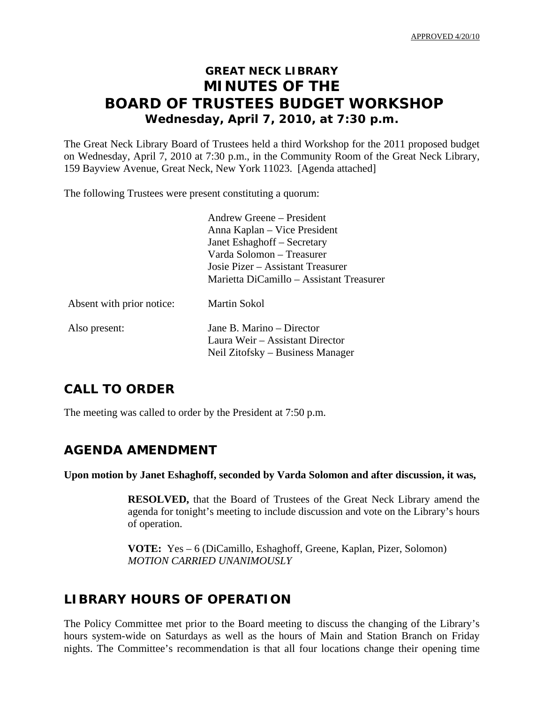# **GREAT NECK LIBRARY MINUTES OF THE BOARD OF TRUSTEES BUDGET WORKSHOP Wednesday, April 7, 2010, at 7:30 p.m.**

The Great Neck Library Board of Trustees held a third Workshop for the 2011 proposed budget on Wednesday, April 7, 2010 at 7:30 p.m., in the Community Room of the Great Neck Library, 159 Bayview Avenue, Great Neck, New York 11023. [Agenda attached]

The following Trustees were present constituting a quorum:

 Andrew Greene – President Anna Kaplan – Vice President Janet Eshaghoff – Secretary Varda Solomon – Treasurer Josie Pizer – Assistant Treasurer Marietta DiCamillo – Assistant Treasurer

| Absent with prior notice: | Martin Sokol                                                                                     |
|---------------------------|--------------------------------------------------------------------------------------------------|
| Also present:             | Jane B. Marino – Director<br>Laura Weir – Assistant Director<br>Neil Zitofsky – Business Manager |

## **CALL TO ORDER**

The meeting was called to order by the President at 7:50 p.m.

## **AGENDA AMENDMENT**

#### **Upon motion by Janet Eshaghoff, seconded by Varda Solomon and after discussion, it was,**

**RESOLVED,** that the Board of Trustees of the Great Neck Library amend the agenda for tonight's meeting to include discussion and vote on the Library's hours of operation.

 **VOTE:** Yes – 6 (DiCamillo, Eshaghoff, Greene, Kaplan, Pizer, Solomon)  *MOTION CARRIED UNANIMOUSLY* 

## **LIBRARY HOURS OF OPERATION**

The Policy Committee met prior to the Board meeting to discuss the changing of the Library's hours system-wide on Saturdays as well as the hours of Main and Station Branch on Friday nights. The Committee's recommendation is that all four locations change their opening time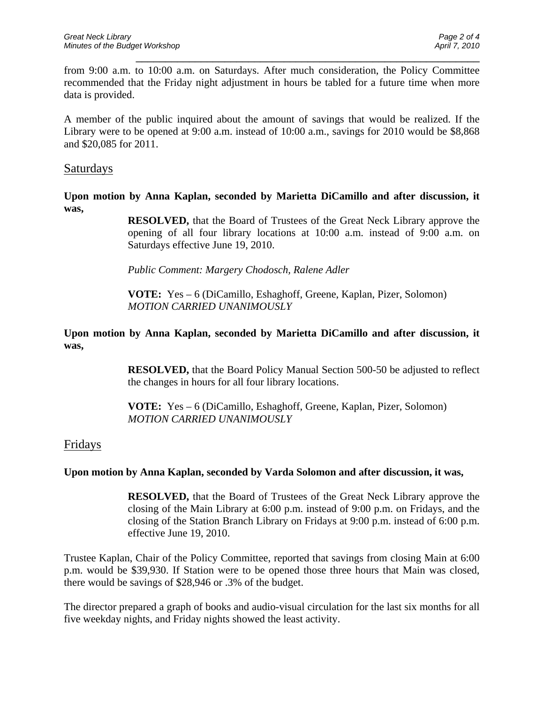from 9:00 a.m. to 10:00 a.m. on Saturdays. After much consideration, the Policy Committee recommended that the Friday night adjustment in hours be tabled for a future time when more data is provided.

\_\_\_\_\_\_\_\_\_\_\_\_\_\_\_\_\_\_\_\_\_\_\_\_\_\_\_\_\_\_\_\_\_\_\_\_\_\_\_\_\_\_\_\_\_\_\_\_\_\_\_\_\_\_\_\_\_\_

A member of the public inquired about the amount of savings that would be realized. If the Library were to be opened at 9:00 a.m. instead of 10:00 a.m., savings for 2010 would be \$8,868 and \$20,085 for 2011.

### Saturdays

**Upon motion by Anna Kaplan, seconded by Marietta DiCamillo and after discussion, it was,** 

> **RESOLVED,** that the Board of Trustees of the Great Neck Library approve the opening of all four library locations at 10:00 a.m. instead of 9:00 a.m. on Saturdays effective June 19, 2010.

*Public Comment: Margery Chodosch, Ralene Adler* 

 **VOTE:** Yes – 6 (DiCamillo, Eshaghoff, Greene, Kaplan, Pizer, Solomon)  *MOTION CARRIED UNANIMOUSLY* 

**Upon motion by Anna Kaplan, seconded by Marietta DiCamillo and after discussion, it was,** 

> **RESOLVED,** that the Board Policy Manual Section 500-50 be adjusted to reflect the changes in hours for all four library locations.

 **VOTE:** Yes – 6 (DiCamillo, Eshaghoff, Greene, Kaplan, Pizer, Solomon)  *MOTION CARRIED UNANIMOUSLY* 

### Fridays

#### **Upon motion by Anna Kaplan, seconded by Varda Solomon and after discussion, it was,**

**RESOLVED,** that the Board of Trustees of the Great Neck Library approve the closing of the Main Library at 6:00 p.m. instead of 9:00 p.m. on Fridays, and the closing of the Station Branch Library on Fridays at 9:00 p.m. instead of 6:00 p.m. effective June 19, 2010.

Trustee Kaplan, Chair of the Policy Committee, reported that savings from closing Main at 6:00 p.m. would be \$39,930. If Station were to be opened those three hours that Main was closed, there would be savings of \$28,946 or .3% of the budget.

The director prepared a graph of books and audio-visual circulation for the last six months for all five weekday nights, and Friday nights showed the least activity.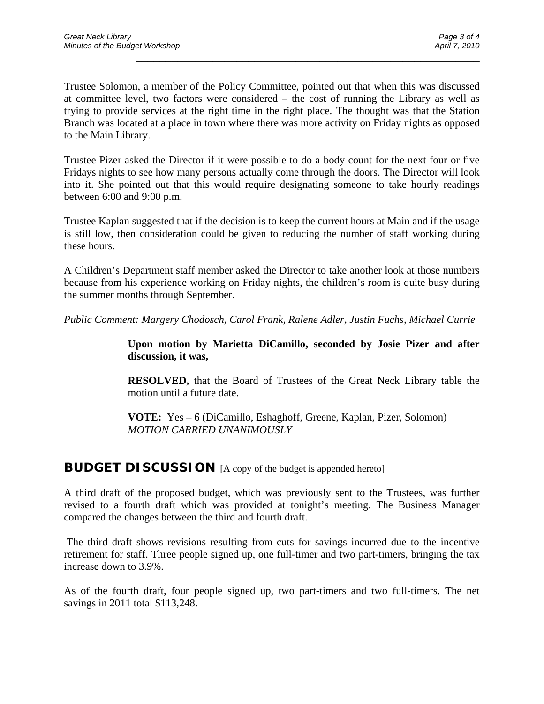Trustee Solomon, a member of the Policy Committee, pointed out that when this was discussed at committee level, two factors were considered – the cost of running the Library as well as trying to provide services at the right time in the right place. The thought was that the Station Branch was located at a place in town where there was more activity on Friday nights as opposed to the Main Library.

\_\_\_\_\_\_\_\_\_\_\_\_\_\_\_\_\_\_\_\_\_\_\_\_\_\_\_\_\_\_\_\_\_\_\_\_\_\_\_\_\_\_\_\_\_\_\_\_\_\_\_\_\_\_\_\_\_\_

Trustee Pizer asked the Director if it were possible to do a body count for the next four or five Fridays nights to see how many persons actually come through the doors. The Director will look into it. She pointed out that this would require designating someone to take hourly readings between 6:00 and 9:00 p.m.

Trustee Kaplan suggested that if the decision is to keep the current hours at Main and if the usage is still low, then consideration could be given to reducing the number of staff working during these hours.

A Children's Department staff member asked the Director to take another look at those numbers because from his experience working on Friday nights, the children's room is quite busy during the summer months through September.

*Public Comment: Margery Chodosch, Carol Frank, Ralene Adler, Justin Fuchs, Michael Currie* 

**Upon motion by Marietta DiCamillo, seconded by Josie Pizer and after discussion, it was,** 

**RESOLVED,** that the Board of Trustees of the Great Neck Library table the motion until a future date.

 **VOTE:** Yes – 6 (DiCamillo, Eshaghoff, Greene, Kaplan, Pizer, Solomon)  *MOTION CARRIED UNANIMOUSLY* 

### **BUDGET DISCUSSION** [A copy of the budget is appended hereto]

A third draft of the proposed budget, which was previously sent to the Trustees, was further revised to a fourth draft which was provided at tonight's meeting. The Business Manager compared the changes between the third and fourth draft.

 The third draft shows revisions resulting from cuts for savings incurred due to the incentive retirement for staff. Three people signed up, one full-timer and two part-timers, bringing the tax increase down to 3.9%.

As of the fourth draft, four people signed up, two part-timers and two full-timers. The net savings in 2011 total \$113,248.